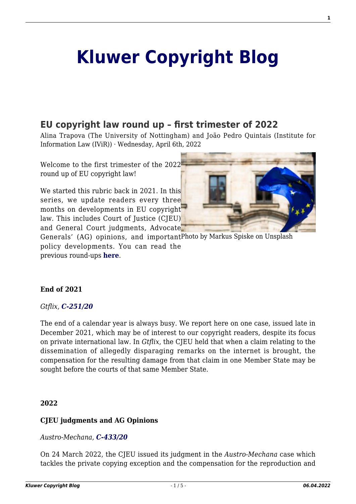# **[Kluwer Copyright Blog](http://copyrightblog.kluweriplaw.com/)**

# **[EU copyright law round up – first trimester of 2022](http://copyrightblog.kluweriplaw.com/2022/04/06/eu-copyright-law-round-up-first-trimester-of-2022/)**

Alina Trapova (The University of Nottingham) and João Pedro Quintais (Institute for Information Law (IViR)) · Wednesday, April 6th, 2022

Welcome to the first trimester of the 2022 round up of EU copyright law!

We started this rubric back in 2021. In this series, we update readers every three months on developments in EU copyright law. This includes Court of Justice (CJEU) and General Court judgments, Advocate



Generals' (AG) opinions, and importantPhoto by Markus Spiske on Unsplash policy developments. You can read the previous round-ups **[here](http://copyrightblog.kluweriplaw.com/category/round-up/)**.

#### **End of 2021**

#### *Gtflix, [C‑251/20](https://curia.europa.eu/juris/document/document.jsf;jsessionid=C25F49C40FB928A59D018F61443A8069?text=&docid=251510&pageIndex=0&doclang=en&mode=req&dir=&occ=first&part=1&cid=1360937)*

The end of a calendar year is always busy. We report here on one case, issued late in December 2021, which may be of interest to our copyright readers, despite its focus on private international law. In *Gtflix*, the CJEU held that when a claim relating to the dissemination of allegedly disparaging remarks on the internet is brought, the compensation for the resulting damage from that claim in one Member State may be sought before the courts of that same Member State.

#### **2022**

#### **CJEU judgments and AG Opinions**

#### *Austro-Mechana, [C-433/20](https://curia.europa.eu/juris/liste.jsf?num=C-433/20&language=en)*

On 24 March 2022, the CJEU issued its judgment in the *Austro-Mechana* case which tackles the private copying exception and the compensation for the reproduction and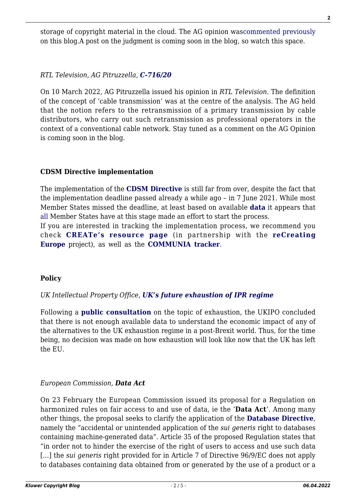storage of copyright material in the cloud. The AG opinion was[commented previously](http://copyrightblog.kluweriplaw.com/2021/12/08/cloud-services-and-private-copying-levy-further-developments-in-the-ag-opinion-on-the-austro-mechana-case/) on this blog.A post on the judgment is coming soon in the blog, so watch this space.

*RTL Television, AG Pitruzzella, [C-716/20](https://curia.europa.eu/juris/document/document.jsf?text=&docid=255445&pageIndex=0&doclang=IT&mode=req&dir=&occ=first&part=1&cid=1523088)*

On 10 March 2022, AG Pitruzzella issued his opinion in *RTL Television*. The definition of the concept of 'cable transmission' was at the centre of the analysis. The AG held that the notion refers to the retransmission of a primary transmission by cable distributors, who carry out such retransmission as professional operators in the context of a conventional cable network. Stay tuned as a comment on the AG Opinion is coming soon in the blog.

#### **CDSM Directive implementation**

The implementation of the **[CDSM Directive](https://eur-lex.europa.eu/eli/dir/2019/790/oj)** is still far from over, despite the fact that the implementation deadline passed already a while ago – in 7 June 2021. While most Member States missed the deadline, at least based on available **[data](https://www.notion.so/DSM-Directive-Implementation-Tracker-361cfae48e814440b353b32692bba879)** it appears that [all](https://www.notion.so/DSM-Directive-Implementation-Tracker-361cfae48e814440b353b32692bba879) Member States have at this stage made an effort to start the process.

If you are interested in tracking the implementation process, we recommend you check **[CREATe's resource page](https://www.create.ac.uk/cdsm-implementation-resource-page/)** (in partnership with the **[reCreating](https://www.recreating.eu/) [Europe](https://www.recreating.eu/)** project), as well as the **[COMMUNIA tracker](https://www.communia-association.org/category/eu-policy/eu-copyright-reform/)**.

# **Policy**

#### *UK Intellectual Property Office, [UK's future exhaustion of IPR regime](https://www.gov.uk/government/consultations/uks-future-exhaustion-of-intellectual-property-rights-regime)*

Following a **[public consultation](https://www.gov.uk/government/consultations/uks-future-exhaustion-of-intellectual-property-rights-regime/uks-future-exhaustion-of-intellectual-property-rights-regime-summary-of-responses-to-the-consultation)** on the topic of exhaustion, the UKIPO concluded that there is not enough available data to understand the economic impact of any of the alternatives to the UK exhaustion regime in a post-Brexit world. Thus, for the time being, no decision was made on how exhaustion will look like now that the UK has left the EU.

# *European Commission, Data Act*

On 23 February the European Commission issued its proposal for a Regulation on harmonized rules on fair access to and use of data, ie the '**Data Act**'. Among many other things, the proposal seeks to clarify the application of the **[Database Directive](https://eur-lex.europa.eu/legal-content/EN/TXT/?uri=celex%3A31996L0009)**, namely the "accidental or unintended application of the *sui generis* right to databases containing machine-generated data". Article 35 of the proposed Regulation states that "in order not to hinder the exercise of the right of users to access and use such data […] the *sui generis* right provided for in Article 7 of Directive 96/9/EC does not apply to databases containing data obtained from or generated by the use of a product or a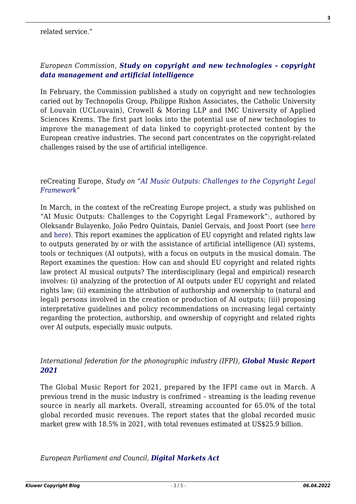### *European Commission, [Study on copyright and new technologies – copyright](https://op.europa.eu/en/publication-detail/-/publication/cc293085-a4da-11ec-83e1-01aa75ed71a1/language-en) [data management and artificial intelligence](https://op.europa.eu/en/publication-detail/-/publication/cc293085-a4da-11ec-83e1-01aa75ed71a1/language-en)*

In February, the Commission published a study on copyright and new technologies caried out by Technopolis Group, Philippe Rixhon Associates, the Catholic University of Louvain (UCLouvain), Crowell & Moring LLP and IMC University of Applied Sciences Krems. The first part looks into the potential use of new technologies to improve the management of data linked to copyright-protected content by the European creative industries. The second part concentrates on the copyright-related challenges raised by the use of artificial intelligence.

#### reCreating Europe, *Study on ["AI Music Outputs: Challenges to the Copyright Legal](https://papers.ssrn.com/sol3/papers.cfm?abstract_id=4072806) [Framework](https://papers.ssrn.com/sol3/papers.cfm?abstract_id=4072806)"*

In March, in the context of the reCreating Europe project, a study was published on "AI Music Outputs: Challenges to the Copyright Legal Framework":, authored by Oleksandr Bulayenko, João Pedro Quintais, Daniel Gervais, and Joost Poort (see [here](https://zenodo.org/record/6405796#.YkrgFTWxU1J) and [here\)](https://papers.ssrn.com/sol3/papers.cfm?abstract_id=4072806). This report examines the application of EU copyright and related rights law to outputs generated by or with the assistance of artificial intelligence (AI) systems, tools or techniques (AI outputs), with a focus on outputs in the musical domain. The Report examines the question: How can and should EU copyright and related rights law protect AI musical outputs? The interdisciplinary (legal and empirical) research involves: (i) analyzing of the protection of AI outputs under EU copyright and related rights law; (ii) examining the attribution of authorship and ownership to (natural and legal) persons involved in the creation or production of AI outputs; (iii) proposing interpretative guidelines and policy recommendations on increasing legal certainty regarding the protection, authorship, and ownership of copyright and related rights over AI outputs, especially music outputs.

#### *International federation for the phonographic industry (IFPI), [Global Music Report](https://www.ifpi.org/ifpi-global-music-report-global-recorded-music-revenues-grew-18-5-in-2021/) [2021](https://www.ifpi.org/ifpi-global-music-report-global-recorded-music-revenues-grew-18-5-in-2021/)*

The Global Music Report for 2021, prepared by the IFPI came out in March. A previous trend in the music industry is confrimed – streaming is the leading revenue source in nearly all markets. Overall, streaming accounted for 65.0% of the total global recorded music revenues. The report states that the global recorded music market grew with 18.5% in 2021, with total revenues estimated at US\$25.9 billion.

*European Parliament and Council, [Digital Markets Act](https://www.europarl.europa.eu/news/en/press-room/20220315IPR25504/deal-on-digital-markets-act-ensuring-fair-competition-and-more-choice-for-users)*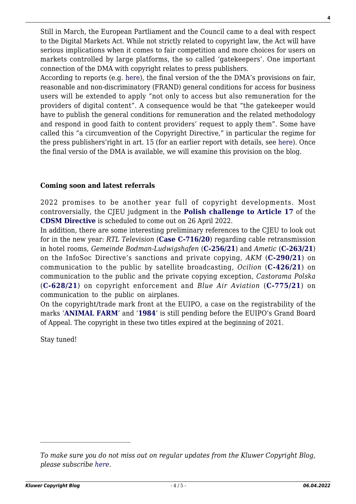Still in March, the European Partliament and the Council came to a deal with respect to the Digital Markets Act. While not strictly related to copyright law, the Act will have serious implications when it comes to fair competition and more choices for users on markets controlled by large platforms, the so called 'gatekeepers'. One important connection of the DMA with copyright relates to press publishers.

According to reports (e.g. [here](https://enpa.eu/press-releases/european-press-publishers-have-high-expectations-digital-markets-act-contribute)), the final version of the the DMA's provisions on fair, reasonable and non-discriminatory (FRAND) general conditions for access for business users will be extended to apply "not only to access but also remuneration for the providers of digital content". A consequence would be that "the gatekeeper would have to publish the general conditions for remuneration and the related methodology and respond in good faith to content providers' request to apply them". Some have called this "a circumvention of the Copyright Directive," in particular the regime for the press publishers'right in art. 15 (for an earlier report with details, see [here\)](https://www.euractiv.com/section/digital/news/publishers-last-minute-attempt-to-secure-fair-remuneration-in-the-digital-markets-act/). Once the final versio of the DMA is available, we will examine this provision on the blog.

### **Coming soon and latest referrals**

2022 promises to be another year full of copyright developments. Most controversially, the CJEU judgment in the **[Polish challenge to Article 17](https://curia.europa.eu/juris/liste.jsf?num=C-401/19)** of the **[CDSM Directive](https://eur-lex.europa.eu/eli/dir/2019/790/oj)** is scheduled to come out on 26 April 2022.

In addition, there are some interesting preliminary references to the CJEU to look out for in the new year: *RTL Television* (**[Case C-716/20](https://curia.europa.eu/juris/document/document.jsf?text=&docid=239456&pageIndex=0&doclang=en&mode=lst&dir=&occ=first&part=1&cid=1428329)**) regarding cable retransmission in hotel rooms, *Gemeinde Bodman-Ludwigshafen* (**[C-256/21](https://curia.europa.eu/juris/liste.jsf?num=C-256/21&language=en)**) and *Ametic* (**[C-263/21](https://curia.europa.eu/juris/liste.jsf?num=C-263/21&language=en)**) on the InfoSoc Directive's sanctions and private copying, *AKM* (**[C-290/21](https://curia.europa.eu/juris/document/document.jsf?text=&docid=244579&pageIndex=0&doclang=EN&mode=lst&dir=&occ=first&part=1&cid=613252)**) on communication to the public by satellite broadcasting, *Ocilion* (**[C-426/21](https://curia.europa.eu/juris/fiche.jsf?id=C%3B426%3B21%3BRP%3B1%3BP%3B1%3BC2021%2F0426%2FP&oqp=&for=&mat=or&lgrec=en&jge=&td=%3BALL&jur=C%2CT%2CF&num=C-426%252F21&dates=&pcs=Oor&lg=&pro=&nat=or&cit=none%252CC%252CCJ%252CR%252C2008E%252C%252C%252C%252C%252C%252C%252C%252C%252C%252Ctrue%252Cfalse%252Cfalse&language=en&avg=&cid=980390)**) on communication to the public and the private copying exception, *Castorama Polska* (**[C-628/21](https://curia.europa.eu/juris/fiche.jsf?id=C%3B628%3B21%3BRP%3B1%3BP%3B1%3BC2021%2F0628%2FP&oqp=&for=&mat=or&lgrec=en&jge=&td=%3BALL&jur=C%2CT%2CF&num=C-628%252F21&dates=&pcs=Oor&lg=&pro=&nat=or&cit=none%252CC%252CCJ%252CR%252C2008E%252C%252C%252C%252C%252C%252C%252C%252C%252C%252Ctrue%252Cfalse%252Cfalse&language=en&avg=&cid=981369)**) on copyright enforcement and *Blue Air Aviation* (**[C-775/21](https://curia.europa.eu/juris/showPdf.jsf?text=%2522recital%2B27%2522%2Bcopyright&docid=255666&pageIndex=0&doclang=en&mode=req&dir=&occ=first&part=1&cid=1751893)**) on communication to the public on airplanes.

On the copyright/trade mark front at the EUIPO, a case on the registrability of the marks '**[ANIMAL FARM](https://euipo.europa.eu/eSearch/#details/trademarks/017869420)**' and '**[1984](https://euipo.europa.eu/eSearch/#details/trademarks/017869425)**' is still pending before the EUIPO's Grand Board of Appeal. The copyright in these two titles expired at the beginning of 2021.

Stay tuned!

*To make sure you do not miss out on regular updates from the Kluwer Copyright Blog, please subscribe [here.](http://copyrightblog.kluweriplaw.com/newsletter)*